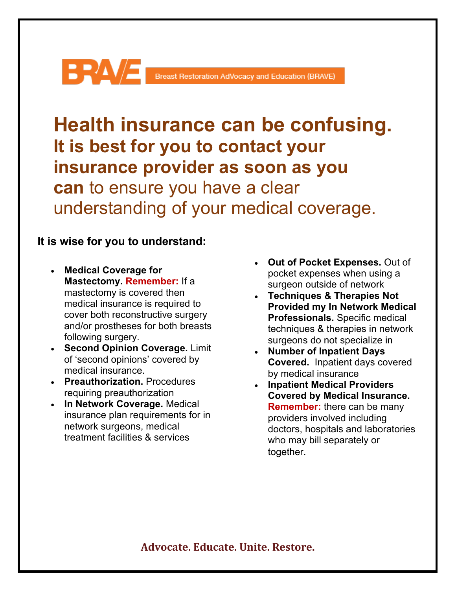## Breast Restoration AdVocacy and Education (BRAVE)

**Health insurance can be confusing. It is best for you to contact your insurance provider as soon as you can** to ensure you have a clear understanding of your medical coverage.

## **It is wise for you to understand:**

- **Medical Coverage for Mastectomy. Remember:** If a mastectomy is covered then medical insurance is required to cover both reconstructive surgery and/or prostheses for both breasts following surgery.
- **Second Opinion Coverage.** Limit of 'second opinions' covered by medical insurance.
- **Preauthorization.** Procedures requiring preauthorization
- **In Network Coverage.** Medical insurance plan requirements for in network surgeons, medical treatment facilities & services
- **Out of Pocket Expenses.** Out of pocket expenses when using a surgeon outside of network
- **Techniques & Therapies Not Provided my In Network Medical Professionals.** Specific medical techniques & therapies in network surgeons do not specialize in
- **Number of Inpatient Days Covered.** Inpatient days covered by medical insurance
- **Inpatient Medical Providers Covered by Medical Insurance. Remember:** there can be many providers involved including doctors, hospitals and laboratories who may bill separately or together.

## **Advocate. Educate. Unite. Restore.**